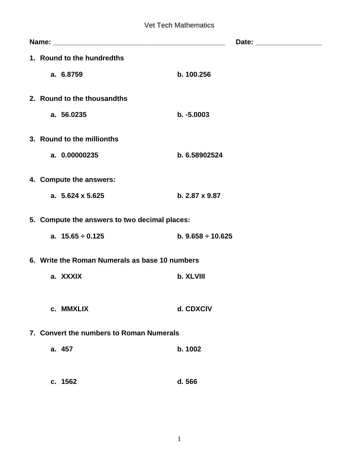|                         | 1. Round to the hundredths                     |                        |  |  |  |  |
|-------------------------|------------------------------------------------|------------------------|--|--|--|--|
| a. 6.8759               |                                                | b. 100.256             |  |  |  |  |
|                         | 2. Round to the thousandths                    |                        |  |  |  |  |
| a. 56.0235              |                                                | $b. -5.0003$           |  |  |  |  |
|                         |                                                |                        |  |  |  |  |
|                         | 3. Round to the millionths                     |                        |  |  |  |  |
|                         | a. 0.00000235                                  | b. 6.58902524          |  |  |  |  |
| 4. Compute the answers: |                                                |                        |  |  |  |  |
|                         | a. $5.624 \times 5.625$                        | b. 2.87 x 9.87         |  |  |  |  |
|                         |                                                |                        |  |  |  |  |
|                         | 5. Compute the answers to two decimal places:  |                        |  |  |  |  |
|                         | a. $15.65 \div 0.125$                          | b. $9.658 \div 10.625$ |  |  |  |  |
|                         | 6. Write the Roman Numerals as base 10 numbers |                        |  |  |  |  |
| a. XXXIX                |                                                | b. XLVIII              |  |  |  |  |
|                         |                                                |                        |  |  |  |  |
| c. MMXLIX               |                                                | d. CDXCIV              |  |  |  |  |
|                         |                                                |                        |  |  |  |  |
|                         | 7. Convert the numbers to Roman Numerals       |                        |  |  |  |  |
| a. 457                  |                                                | b. 1002                |  |  |  |  |
|                         |                                                |                        |  |  |  |  |
| c. 1562                 |                                                | d. 566                 |  |  |  |  |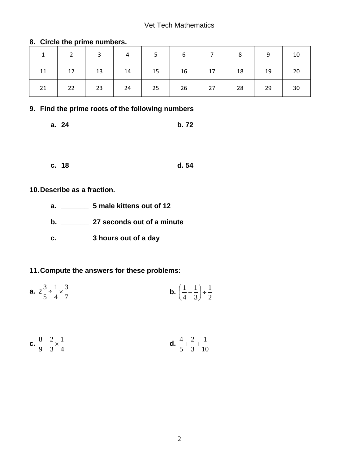#### Vet Tech Mathematics

|    | $1 \mid 2 \mid 3 \mid 4 \mid 5 \mid 6 \mid 7 \mid 8 \mid 9 \mid 10$                                                                                           |  |  |  |  |
|----|---------------------------------------------------------------------------------------------------------------------------------------------------------------|--|--|--|--|
|    | $11 \quad   \quad 12 \quad   \quad 13 \quad   \quad 14 \quad   \quad 15 \quad   \quad 16 \quad   \quad 17 \quad   \quad 18 \quad   \quad 19 \quad   \quad 20$ |  |  |  |  |
| 21 | 22   23   24   25   26   27   28   29   30                                                                                                                    |  |  |  |  |

#### **8. Circle the prime numbers.**

### **9. Find the prime roots of the following numbers**

**a. 24 b. 72**

**c. 18 d. 54**

# **10.Describe as a fraction.**

- **a. \_\_\_\_\_\_\_ 5 male kittens out of 12**
- **b. \_\_\_\_\_\_\_ 27 seconds out of a minute**
- **c. \_\_\_\_\_\_\_ 3 hours out of a day**

### **11.Compute the answers for these problems:**

**a.**  7 3 4 1 5  $2^{\frac{3}{2}} \div \frac{1}{2} \times$ **b.**  2 1 3 1 4  $\left(\frac{1}{1} + \frac{1}{2}\right) +$ J  $\left(\frac{1}{4}+\frac{1}{2}\right)$  $\setminus$  $\left(\frac{1}{1} + \cdots\right)$ 

**c.** 
$$
\frac{8}{9} - \frac{2}{3} \times \frac{1}{4}
$$
 **d.**  $\frac{4}{5} + \frac{2}{3} + \frac{1}{10}$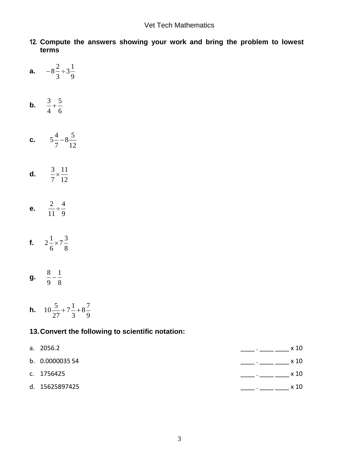- **12. Compute the answers showing your work and bring the problem to lowest terms**
- **a.**  9  $3\frac{1}{2}$ 3  $-8^{\frac{2}{3}} \div$
- **b.**  6 5 4  $\frac{3}{4}$
- **c.**  12  $8\frac{5}{1}$ 7  $5\frac{4}{5}$  –
- **d.**  12 11 7  $\frac{3}{2}$   $\times$
- **e.**  9 4 11  $\frac{2}{2}$  ÷
- **f.**  8  $7\frac{3}{7}$ 6  $2\frac{1}{2}$   $\times$
- **g.**  8 1 9  $\frac{8}{1}$
- **h.**  9  $8\frac{7}{9}$ 3  $7\frac{1}{2}$ 27  $10\frac{5}{2} + 7\frac{1}{3} +$

## **13.Convert the following to scientific notation:**

| a. 2056.2      | x 10 |  |
|----------------|------|--|
| b. 0.000003554 | x 10 |  |
| c. 1756425     | x 10 |  |
| d. 15625897425 | x 10 |  |